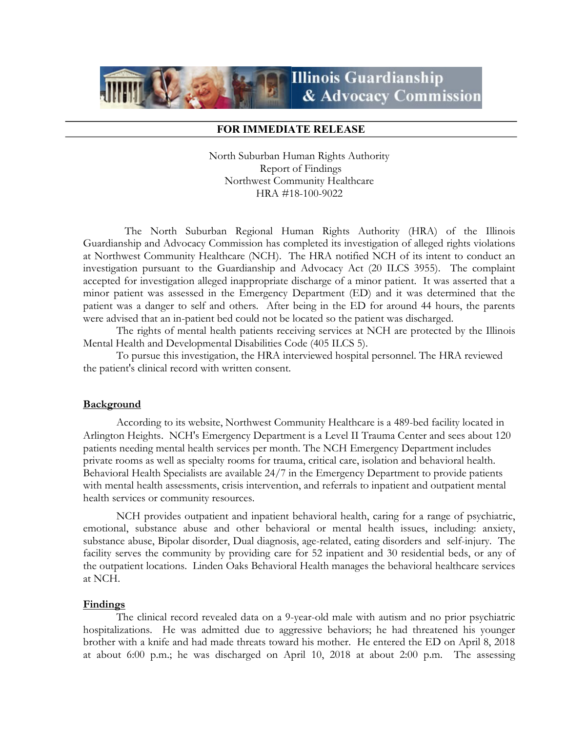# **Illinois Guardianship** & Advocacy Commission

## FOR IMMEDIATE RELEASE

North Suburban Human Rights Authority Report of Findings Northwest Community Healthcare HRA #18-100-9022

 The North Suburban Regional Human Rights Authority (HRA) of the Illinois Guardianship and Advocacy Commission has completed its investigation of alleged rights violations at Northwest Community Healthcare (NCH). The HRA notified NCH of its intent to conduct an investigation pursuant to the Guardianship and Advocacy Act (20 ILCS 3955). The complaint accepted for investigation alleged inappropriate discharge of a minor patient. It was asserted that a minor patient was assessed in the Emergency Department (ED) and it was determined that the patient was a danger to self and others. After being in the ED for around 44 hours, the parents were advised that an in-patient bed could not be located so the patient was discharged.

The rights of mental health patients receiving services at NCH are protected by the Illinois Mental Health and Developmental Disabilities Code (405 ILCS 5).

To pursue this investigation, the HRA interviewed hospital personnel. The HRA reviewed the patient's clinical record with written consent.

### **Background**

According to its website, Northwest Community Healthcare is a 489-bed facility located in Arlington Heights. NCH's Emergency Department is a Level II Trauma Center and sees about 120 patients needing mental health services per month. The NCH Emergency Department includes private rooms as well as specialty rooms for trauma, critical care, isolation and behavioral health. Behavioral Health Specialists are available 24/7 in the Emergency Department to provide patients with mental health assessments, crisis intervention, and referrals to inpatient and outpatient mental health services or community resources.

NCH provides outpatient and inpatient behavioral health, caring for a range of psychiatric, emotional, substance abuse and other behavioral or mental health issues, including: anxiety, substance abuse, Bipolar disorder, Dual diagnosis, age-related, eating disorders and self-injury. The facility serves the community by providing care for 52 inpatient and 30 residential beds, or any of the outpatient locations. Linden Oaks Behavioral Health manages the behavioral healthcare services at NCH.

### Findings

The clinical record revealed data on a 9-year-old male with autism and no prior psychiatric hospitalizations. He was admitted due to aggressive behaviors; he had threatened his younger brother with a knife and had made threats toward his mother. He entered the ED on April 8, 2018 at about 6:00 p.m.; he was discharged on April 10, 2018 at about 2:00 p.m. The assessing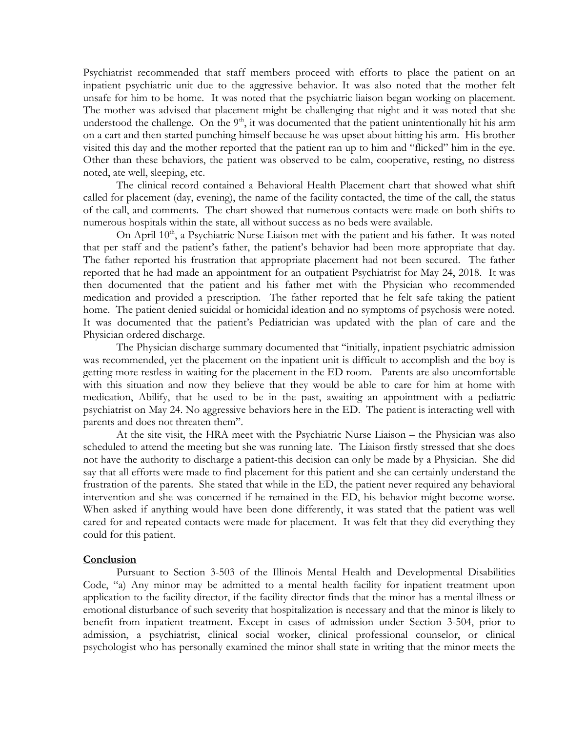Psychiatrist recommended that staff members proceed with efforts to place the patient on an inpatient psychiatric unit due to the aggressive behavior. It was also noted that the mother felt unsafe for him to be home. It was noted that the psychiatric liaison began working on placement. The mother was advised that placement might be challenging that night and it was noted that she understood the challenge. On the  $9<sup>th</sup>$ , it was documented that the patient unintentionally hit his arm on a cart and then started punching himself because he was upset about hitting his arm. His brother visited this day and the mother reported that the patient ran up to him and "flicked" him in the eye. Other than these behaviors, the patient was observed to be calm, cooperative, resting, no distress noted, ate well, sleeping, etc.

 The clinical record contained a Behavioral Health Placement chart that showed what shift called for placement (day, evening), the name of the facility contacted, the time of the call, the status of the call, and comments. The chart showed that numerous contacts were made on both shifts to numerous hospitals within the state, all without success as no beds were available.

On April  $10<sup>th</sup>$ , a Psychiatric Nurse Liaison met with the patient and his father. It was noted that per staff and the patient's father, the patient's behavior had been more appropriate that day. The father reported his frustration that appropriate placement had not been secured. The father reported that he had made an appointment for an outpatient Psychiatrist for May 24, 2018. It was then documented that the patient and his father met with the Physician who recommended medication and provided a prescription. The father reported that he felt safe taking the patient home. The patient denied suicidal or homicidal ideation and no symptoms of psychosis were noted. It was documented that the patient's Pediatrician was updated with the plan of care and the Physician ordered discharge.

 The Physician discharge summary documented that "initially, inpatient psychiatric admission was recommended, yet the placement on the inpatient unit is difficult to accomplish and the boy is getting more restless in waiting for the placement in the ED room. Parents are also uncomfortable with this situation and now they believe that they would be able to care for him at home with medication, Abilify, that he used to be in the past, awaiting an appointment with a pediatric psychiatrist on May 24. No aggressive behaviors here in the ED. The patient is interacting well with parents and does not threaten them".

 At the site visit, the HRA meet with the Psychiatric Nurse Liaison – the Physician was also scheduled to attend the meeting but she was running late. The Liaison firstly stressed that she does not have the authority to discharge a patient-this decision can only be made by a Physician. She did say that all efforts were made to find placement for this patient and she can certainly understand the frustration of the parents. She stated that while in the ED, the patient never required any behavioral intervention and she was concerned if he remained in the ED, his behavior might become worse. When asked if anything would have been done differently, it was stated that the patient was well cared for and repeated contacts were made for placement. It was felt that they did everything they could for this patient.

### **Conclusion**

 Pursuant to Section 3-503 of the Illinois Mental Health and Developmental Disabilities Code, "a) Any minor may be admitted to a mental health facility for inpatient treatment upon application to the facility director, if the facility director finds that the minor has a mental illness or emotional disturbance of such severity that hospitalization is necessary and that the minor is likely to benefit from inpatient treatment. Except in cases of admission under Section 3-504, prior to admission, a psychiatrist, clinical social worker, clinical professional counselor, or clinical psychologist who has personally examined the minor shall state in writing that the minor meets the